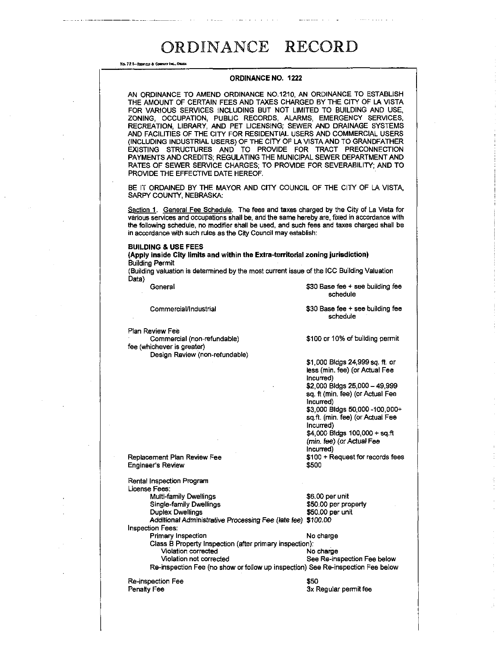No. 72 B-Repries & Conwar Inc., Oauta

### **ORDINANCE NO. 1222**

| ORDINANCE NO. 1222                                                                                                                                                                                                                                                                                                                                                                                                                                                                                                                                                                                                                                                                                                                                               |                                                                                                                                                                                                                                                                                                                                |  |
|------------------------------------------------------------------------------------------------------------------------------------------------------------------------------------------------------------------------------------------------------------------------------------------------------------------------------------------------------------------------------------------------------------------------------------------------------------------------------------------------------------------------------------------------------------------------------------------------------------------------------------------------------------------------------------------------------------------------------------------------------------------|--------------------------------------------------------------------------------------------------------------------------------------------------------------------------------------------------------------------------------------------------------------------------------------------------------------------------------|--|
| AN ORDINANCE TO AMEND ORDINANCE NO.1210, AN ORDINANCE TO ESTABLISH<br>THE AMOUNT OF CERTAIN FEES AND TAXES CHARGED BY THE CITY OF LA VISTA<br>FOR VARIOUS SERVICES INCLUDING BUT NOT LIMITED TO BUILDING AND USE.<br>ZONING, OCCUPATION, PUBLIC RECORDS, ALARMS, EMERGENCY SERVICES,<br>RECREATION, LIBRARY, AND PET LICENSING; SEWER AND DRAINAGE SYSTEMS<br>AND FACILITIES OF THE CITY FOR RESIDENTIAL USERS AND COMMERCIAL USERS<br>(INCLUDING INDUSTRIAL USERS) OF THE CITY OF LA VISTA AND TO GRANDFATHER<br>EXISTING STRUCTURES AND TO PROVIDE FOR TRACT PRECONNECTION<br>PAYMENTS AND CREDITS; REGULATING THE MUNICIPAL SEWER DEPARTMENT AND<br>RATES OF SEWER SERVICE CHARGES; TO PROVIDE FOR SEVERABILITY; AND TO<br>PROVIDE THE EFFECTIVE DATE HEREOF. |                                                                                                                                                                                                                                                                                                                                |  |
| BE IT ORDAINED BY THE MAYOR AND CITY COUNCIL OF THE CITY OF LA VISTA,<br>SARPY COUNTY, NEBRASKA:                                                                                                                                                                                                                                                                                                                                                                                                                                                                                                                                                                                                                                                                 |                                                                                                                                                                                                                                                                                                                                |  |
| Section 1. General Fee Schedule. The fees and taxes charged by the City of La Vista for<br>various services and occupations shall be, and the same hereby are, fixed in accordance with<br>the following schedule, no modifier shall be used, and such fees and taxes charged shall be<br>in accordance with such rules as the City Council may establish:                                                                                                                                                                                                                                                                                                                                                                                                       |                                                                                                                                                                                                                                                                                                                                |  |
| <b>BUILDING &amp; USE FEES</b>                                                                                                                                                                                                                                                                                                                                                                                                                                                                                                                                                                                                                                                                                                                                   |                                                                                                                                                                                                                                                                                                                                |  |
| (Apply inside City limits and within the Extra-territorial zoning jurisdiction)<br><b>Building Permit</b>                                                                                                                                                                                                                                                                                                                                                                                                                                                                                                                                                                                                                                                        |                                                                                                                                                                                                                                                                                                                                |  |
| (Building valuation is determined by the most current issue of the ICC Building Valuation<br>Data)                                                                                                                                                                                                                                                                                                                                                                                                                                                                                                                                                                                                                                                               |                                                                                                                                                                                                                                                                                                                                |  |
| General                                                                                                                                                                                                                                                                                                                                                                                                                                                                                                                                                                                                                                                                                                                                                          | \$30 Base fee + see building fee<br>schedule                                                                                                                                                                                                                                                                                   |  |
| Commercial/Industrial                                                                                                                                                                                                                                                                                                                                                                                                                                                                                                                                                                                                                                                                                                                                            | \$30 Base fee + see building fee<br>schedule                                                                                                                                                                                                                                                                                   |  |
| Plan Review Fee                                                                                                                                                                                                                                                                                                                                                                                                                                                                                                                                                                                                                                                                                                                                                  |                                                                                                                                                                                                                                                                                                                                |  |
| Commercial (non-refundable)<br>fee (whichever is greater)                                                                                                                                                                                                                                                                                                                                                                                                                                                                                                                                                                                                                                                                                                        | \$100 or 10% of building permit                                                                                                                                                                                                                                                                                                |  |
| Design Review (non-refundable)                                                                                                                                                                                                                                                                                                                                                                                                                                                                                                                                                                                                                                                                                                                                   | \$1,000 Bldgs 24,999 sq. ft. or<br>less (min. fee) (or Actual Fee<br>incurred)<br>\$2,000 Bldgs 25,000 - 49,999<br>sq. ft (min. fee) (or Actual Fee<br>Incurred)<br>\$3,000 Bldgs 50,000 -100,000+<br>sq.ft. (min. fee) (or Actual Fee<br>Incurred)<br>\$4,000 Bldgs 100,000 + sq.ft<br>(min. fee) (or Actual Fee<br>Incurred) |  |
| Replacement Plan Review Fee<br><b>Engineer's Review</b>                                                                                                                                                                                                                                                                                                                                                                                                                                                                                                                                                                                                                                                                                                          | \$100 + Request for records fees<br>\$500                                                                                                                                                                                                                                                                                      |  |
| Rental Inspection Program<br>License Fees:<br>Multi-family Dwellings<br>Single-family Dwellings<br>Duplex Dwellings<br>Additional Administrative Processing Fee (late fee) \$100.00<br><b>Inspection Fees:</b><br>Primary Inspection<br>Class B Property Inspection (after primary inspection):<br>Violation corrected<br>Violation not corrected<br>Re-inspection Fee (no show or follow up inspection) See Re-inspection Fee below                                                                                                                                                                                                                                                                                                                             | \$6.00 per unit<br>\$50.00 per property<br>\$50.00 per unit<br>No charge<br>No charge<br>See Re-inspection Fee below                                                                                                                                                                                                           |  |
| Re-inspection Fee<br><b>Penalty Fee</b>                                                                                                                                                                                                                                                                                                                                                                                                                                                                                                                                                                                                                                                                                                                          | \$50<br>3x Regular permit fee                                                                                                                                                                                                                                                                                                  |  |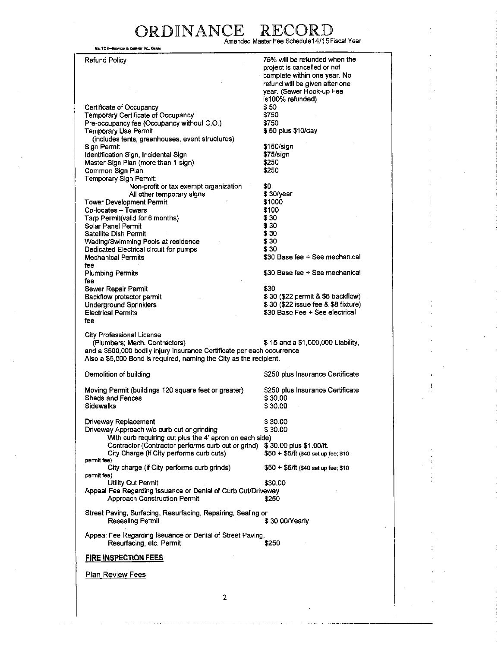### ORDINANCE REC Amended Master Fee Schedule14/15Fiscal Year

No. 72 8-Reprise a Counser Inc., Onard

Refund Policy

75% will be refunded when the

Certificate of Occupancy Temporary Certificate of Occupancy Pre-occupancy fee (Occupancy without C.O.) Temporary Use Permit (includes tents, greenhouses, event structures) Sign Permit Identification Sign, Incidental Sign Master Sign Plan (more than 1 sign) Common Sign Plan Temporary Sign Permit: Non-profit or tax exempt organization All other temporary signs Tower Development Permit Co-locates - Towers Tarp Permit(valid for 6 months) Solar Panel Permit Satellite Dish Permit Wading/Swimming Pools at residence Dedicated Electrical circuit for pumps Mechanical Permits fee Plumbing Permits fee Sewer Repair Permit Backftow protector permit Underground Sprinklers Electrical Permits fee project is cancelled or not complete within one year. No refund will be given after one year. (Sewer Hook-up Fee is100% refunded) \$50 **\$750**  \$750 \$ 50 plus \$10/day \$150/sign \$75/sign \$250 \$250 \$0 \$ 30/year \$1000 \$100 \$30 \$30 \$30 \$30 \$30 \$30 Base fee + See mechanical \$30 Base fee + See mechanical \$30 \$ 30 (\$22 permit & \$8 backflow) \$ 30 (\$22 issue fee & \$8 fixture) \$30 Base Fee + See electrical City Professional License (Plumbers; Mech. Contractors) \$ 15 and a \$1,000,000 Liability, and a \$500,000 bodily injury insurance Certificate per each occurrence Also a \$5,000 Bond is required, naming the City as the recipient. Demolition of building Moving Permit (buildings 120 square feet or greater) Sheds and Fences Sidewalks \$250 plus Insurance Certificate \$250 plus Insurance Certificate \$ 30.00 \$ 30.00 Driveway Replacement \$ 30.00 Driveway Approach w/o curb cut or grinding \$ 30.00 With curb requiring cut plus the 4' apron on each side) Contractor (Contractor performs curb cut or grind)  $$30.00$  plus \$1.00/ft.<br>City Charge (if City performs curb cuts)  $$50 + $5$ /ft (\$40 set up fee; \$10 City Charge (if City performs curb cuts) permit **fee)**  City charge (if City performs curb grinds)  $$50 + $6/ft$  (\$40 set up fee; \$10 permit fee) Utility Cut Permit \$30.00 Appeal Fee Regarding Issuance or Denial of Curb Cut/Driveway<br>\$250 Approach Construction Permit Approach Construction Permit Street Paving, Surfacing, Resurfacing, Repairing, Sealing or **Resealing Permit** Appeal Fee Regarding Issuance or Denial of Street Paving, Resurfacing, etc. Permit **FIRE INSPECTION FEES**  Plan Review Fees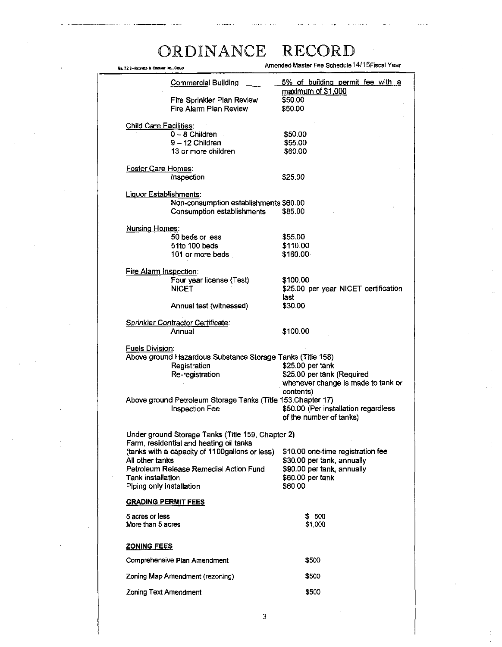| No. 72 S-Repries & Courset Inc., Okup, |                                                                                              | Amended Master Fee Schedule 14/15Fiscal Year                    |
|----------------------------------------|----------------------------------------------------------------------------------------------|-----------------------------------------------------------------|
|                                        | <b>Commercial Building</b>                                                                   | 5% of building permit fee with a                                |
|                                        | Fire Sprinkler Plan Review<br>Fire Alarm Plan Review                                         | maximum of \$1,000<br>\$50.00<br>\$50.00                        |
| <b>Child Care Facilities:</b>          |                                                                                              |                                                                 |
|                                        | $0 - 8$ Children                                                                             | \$50.00                                                         |
|                                        | 9 - 12 Children                                                                              | \$55.00                                                         |
|                                        | 13 or more children                                                                          | \$60.00                                                         |
| Foster Care Homes:                     |                                                                                              |                                                                 |
|                                        | Inspection                                                                                   | \$25.00                                                         |
| Liquor Establishments:                 |                                                                                              |                                                                 |
|                                        | Non-consumption establishments \$60.00                                                       |                                                                 |
|                                        | Consumption establishments                                                                   | \$85.00                                                         |
| <b>Nursing Homes:</b>                  |                                                                                              |                                                                 |
|                                        | 50 beds or less                                                                              | \$55.00                                                         |
|                                        | 51to 100 beds                                                                                | \$110.00                                                        |
|                                        | 101 or more beds                                                                             | \$160.00                                                        |
| Fire Alarm Inspection:                 |                                                                                              |                                                                 |
|                                        | Four year license (Test)                                                                     | \$100.00                                                        |
|                                        | <b>NICET</b>                                                                                 | \$25.00 per year NICET certification                            |
|                                        |                                                                                              | last                                                            |
|                                        | Annual test (witnessed)                                                                      | \$30.00                                                         |
|                                        | Sprinkler Contractor Certificate:                                                            |                                                                 |
|                                        | Annual                                                                                       | \$100.00                                                        |
| Fuels Division:                        |                                                                                              |                                                                 |
|                                        | Above ground Hazardous Substance Storage Tanks (Title 158)                                   |                                                                 |
|                                        | Registration                                                                                 | \$25.00 per tank                                                |
|                                        | Re-registration                                                                              | \$25.00 per tank (Required                                      |
|                                        |                                                                                              | whenever change is made to tank or                              |
|                                        |                                                                                              | contents)                                                       |
|                                        | Above ground Petroleum Storage Tanks (Title 153, Chapter 17)                                 |                                                                 |
|                                        | <b>Inspection Fee</b>                                                                        | \$50.00 (Per installation regardless<br>of the number of tanks) |
|                                        |                                                                                              |                                                                 |
|                                        | Under ground Storage Tanks (Title 159, Chapter 2)<br>Farm, residential and heating oil tanks |                                                                 |
|                                        | (tanks with a capacity of 1100gallons or less)                                               | \$10.00 one-time registration fee                               |
| All other tanks                        |                                                                                              | \$30.00 per tank, annually                                      |
|                                        | Petroleum Release Remedial Action Fund                                                       | \$90.00 per tank, annually                                      |
| <b>Tank installation</b>               |                                                                                              | \$60.00 per tank                                                |
| Piping only installation               |                                                                                              | \$60.00                                                         |
| <b>GRADING PERMIT FEES</b>             |                                                                                              |                                                                 |
| 5 acres or less                        |                                                                                              | \$500                                                           |
| More than 5 acres                      |                                                                                              | \$1,000                                                         |
| <b>ZONING FEES</b>                     |                                                                                              |                                                                 |
|                                        | Comprehensive Plan Amendment                                                                 | <b>S</b> 500                                                    |
|                                        | Zoning Map Amendment (rezoning)                                                              | <b>S500</b>                                                     |
| Zoning Text Amendment                  |                                                                                              | \$500                                                           |
|                                        |                                                                                              |                                                                 |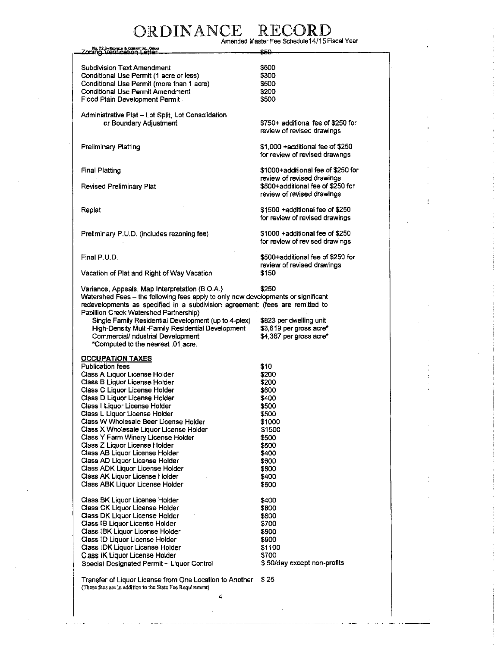# ORDINANCE RECORD<br>Amended Master Fee Schedule14/15 Fiscal Year

| Zoning Verification Le                                                            | 850                                                             |
|-----------------------------------------------------------------------------------|-----------------------------------------------------------------|
|                                                                                   |                                                                 |
| <b>Subdivision Text Amendment</b>                                                 | \$500                                                           |
| Conditional Use Permit (1 acre or less)                                           | \$300                                                           |
| Conditional Use Permit (more than 1 acre)                                         | \$500                                                           |
| Conditional Use Permit Amendment                                                  | \$200                                                           |
| Flood Plain Development Permit.                                                   | \$500                                                           |
|                                                                                   |                                                                 |
| Administrative Plat - Lot Split, Lot Consolidation                                |                                                                 |
| or Boundary Adjustment                                                            | \$750+ additional fee of \$250 for                              |
|                                                                                   | review of revised drawings                                      |
| Preliminary Platting                                                              | \$1,000 + additional fee of \$250                               |
|                                                                                   | for review of revised drawings                                  |
|                                                                                   |                                                                 |
| <b>Final Platting</b>                                                             | \$1000+additional fee of \$250 for                              |
|                                                                                   | review of revised drawings                                      |
| Revised Preliminary Plat                                                          | \$500+additional fee of \$250 for                               |
|                                                                                   | review of revised drawings                                      |
|                                                                                   |                                                                 |
| Replat                                                                            | \$1500 + additional fee of \$250                                |
|                                                                                   | for review of revised drawings                                  |
|                                                                                   |                                                                 |
| Preliminary P.U.D. (includes rezoning fee)                                        | \$1000 +additional fee of \$250                                 |
|                                                                                   | for review of revised drawings                                  |
|                                                                                   |                                                                 |
| Final P.U.D.                                                                      | \$500+additional fee of \$250 for<br>review of revised drawings |
|                                                                                   | \$150                                                           |
| Vacation of Plat and Right of Way Vacation                                        |                                                                 |
| Variance, Appeals, Map Interpretation (B.O.A.)                                    | \$250                                                           |
| Watershed Fees - the following fees apply to only new developments or significant |                                                                 |
| redevelopments as specified in a subdivision agreement: (fees are remitted to     |                                                                 |
| Papillion Creek Watershed Partnership)                                            |                                                                 |
| Single Family Residential Development (up to 4-plex)                              | \$823 per dwelling unit                                         |
| High-Density Multi-Family Residential Development                                 | \$3,619 per gross acre*                                         |
| Commercial/Industrial Development                                                 | \$4,387 per gross acre*                                         |
| *Computed to the nearest .01 acre.                                                |                                                                 |
|                                                                                   |                                                                 |
| <b>OCCUPATION TAXES</b>                                                           |                                                                 |
| <b>Publication fees</b>                                                           | \$10                                                            |
| Class A Liquor License Holder                                                     | \$200                                                           |
| Class B Liquor License Holder                                                     | \$200                                                           |
| Class C Liquor License Holder                                                     | <b>S600</b>                                                     |
| Class D Liquor License Holder                                                     | \$400                                                           |
| Class I Liquor License Holder                                                     | \$500                                                           |
| Class L Liquor License Holder                                                     | \$500                                                           |
| Class W Wholesale Beer License Holder                                             | \$1000                                                          |
| Class X Wholesale Liquor License Holder                                           | \$1500                                                          |
| Class Y Farm Winery License Holder                                                | \$500                                                           |
| Class Z Liquor License Holder                                                     | \$500                                                           |
| Class AB Liquor License Holder                                                    | \$400                                                           |
| Class AD Liquor License Holder                                                    | \$600                                                           |
| Class ADK Liquor License Holder                                                   | \$800                                                           |
| Class AK Liquor License Holder                                                    | \$400                                                           |
| Class ABK Liquor License Holder                                                   | \$600                                                           |
| Class BK Liquor License Holder                                                    |                                                                 |
| Class CK Liquor License Holder                                                    | \$400<br>\$800                                                  |
| Class DK Liquor License Holder                                                    | \$600                                                           |
| Class IB Liquor License Holder                                                    | \$700                                                           |
| Class IBK Liquor License Holder                                                   | \$900                                                           |
| Class ID Liquor License Holder                                                    | \$900                                                           |
| Class IDK Liquor License Holder                                                   | \$1100                                                          |
| Class IK Liquor License Holder                                                    | \$700                                                           |
| Special Designated Permit - Liquor Control                                        | \$50/day except non-profits                                     |
|                                                                                   |                                                                 |
| Transfer of Liquor License from One Location to Another                           | \$25                                                            |
| (These fees are in addition to the State Fee Requirement)                         |                                                                 |

**4**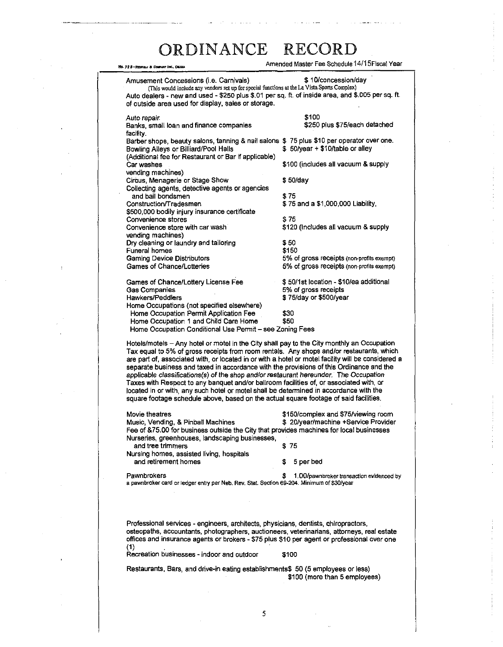Amended Master Fee Schedule 14/1 SFiscal Year

**Hg. 72 8-Reprise & Courset Inc., OBAR** Amusement Concessions (i.e. Carnivals)  $$ 10$ /concession/day (This would include any vendors set up for special functions at the La Vista Sports Complex) Auto dealers - new and used - \$250 plus \$.01 per sq. ft. of inside area, and \$.005 per sq. ft. of outside area used for display, sales or storage. Auto repair \$100 Banks, small loan and finance companies facility. Barber shops, beauty salons, tanning & nail salons \$ 75 plus \$10 per operator over one. Bowling Alleys or Billiard/Pool Halls \$ 50/year + \$10/table or alley (Additional fee for Restaurant or Bar if applicable) Car washes \$100 (includes all vacuum & supply vending machines) Circus, Menagerie or Stage Show \$ 50/day Collecting agents, detective agents or agencies and bail bondsmen \$ 75 \$ 75 and a \$1,000,000 Liability, \$500,000 bodily injury insurance certificate Convenience stores <br>Convenience store with car wash **\$ 120** (includes all vacuum & supply Convenience store with car wash vending machines) Dry cleaning or laundry and tailoring **\$50**<br>Funeral homes \$150 Funeral homes Gaming Device Distributors 6% of gross receipts (non-profits exempt)<br>Games of Chance/Lotteries 6% of gross receipts (non-profits exempt) 5% of gross receipts (non-profits exempt) Games of Chance/Lottery License Fee \$50/1st location - \$10/ea additional Gas Companies 6% of gross receipts Hawkers/Peddlers \$ 75/day or \$500/year Home Occupations (not specified elsewhere) Home Occupation Permit Application Fee \$30<br>Home Occupation 1 and Child Care Home \$50 Home Occupation 1 and Child Care Home Home Occupation Conditional Use Permit - see Zoning Fees Hotels/motels - Any hotel or motel in the City shall pay to the City monthly an Occupation Tax equal to 5% of gross receipts from room rentals. Any shops and/or restaurants, which are part of, associated with, or located in or with a hotel or motel facility will be considered a separate business and taxed in accordance with the provisions of this Ordinance and the applicable classifications^) of the shop *and/or restaurant hereunder.* The Occupation Taxes with Respect to any banquet and/or ballroom facilities of, or associated with, or

located in or with, any such hotel or motel shall be determined in accordance with the square footage schedule above, based on the actual square footage of said facilities. Movie theatres **\$150/complex and \$75/viewing room** Music, Vending, & Pinball Machines  $$ 20/year/machine +Service 20/year/machine +S$ Fee of &75.00 for business outside the City that provides machines for local businesses Nurseries, greenhouses, landscaping businesses, and tree trimmers \$ 75 Nursing homes, assisted living, hospitals and retirement homes **\$** 5 per bed

Pawnbrokers **but a 1.00/pawnbroker transaction evidenced by** the state of the state of the state of the state of the state of the state of the state of the state of the state of the state of the state of the state of the s a pawnbroker card or ledger entry per Neb. Rev. Stat. Section 69-204. Minimum of \$30/year

Professional services - engineers, architects, physicians, dentists, chiropractors, osteopaths, accountants, photographers, auctioneers, veterinarians, attorneys, real estate offices and insurance agents or brokers - \$75 plus \$10 per agent or professional over one (1)

Recreation businesses - indoor and outdoor \$100

Restaurants, Bars, and drive-in eating establishments\$ 50 (5 employees or less) \$100 (more than 5 employees)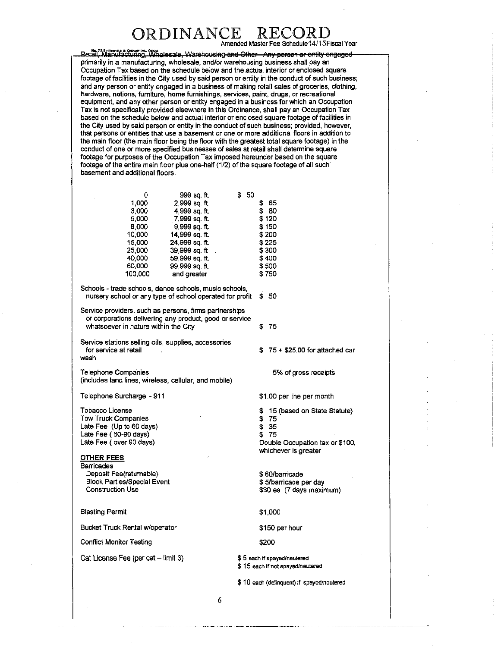Amended Master Fee Schedule14/15Fiscal Year

... Na. 728-Rempy & Crews list. Only.<br>Betail. Manufacturing: Wholesale, Warehousing and Other Any person or entity-engaged primarily in a manufacturing, wholesale, and/or warehousing business shall pay an Occupation Tax based on the schedule below and the actual interior or enclosed square footage of facilities in the City used by said person or entity in the conduct of such business; and any person or entity engaged in a business of making retail sales of groceries, clothing, hardware, notions, furniture, home furnishings, services, paint, drugs, or recreational equipment, and any other person or entity engaged in a business for which an Occupation Tax is not specifically provided elsewhere in this Ordinance, shall pay an Occupation Tax based on the schedule below and actual interior or enclosed square footage of facilities in the City used by said person or entity in the conduct of such business; provided, however, that persons or entities that use a basement or one or more additional floors in addition to the main floor (the main floor being the floor with the greatest total square footage) in the conduct of one or more specified businesses of sales at retail shall determine square footage for purposes of the Occupation Tax imposed hereunder based on the square footage of the entire main floor plus one-half (1/2) of the square footage of all such basement and additional floors.

| 0       | 999 sq. ft.    | Ŝ | 50 |          |  |
|---------|----------------|---|----|----------|--|
| 1.000   | 2.999 sq. ft.  |   |    | 65<br>S  |  |
| 3.000   | 4.999 sq. ft.  |   |    | -80<br>S |  |
| 5.000   | 7.999 sq. ft.  |   |    | \$ 120   |  |
| 8.000   | 9.999 sq. ft.  |   |    | \$150    |  |
| 10.000  | 14,999 sq. ft. |   |    | \$200    |  |
| 15.000  | 24,999 sq. ft. |   |    | \$225    |  |
| 25.000  | 39 999 sq ft   |   |    | \$300    |  |
| 40,000  | 59 999 sq. ft. |   |    | \$400    |  |
| 60,000  | 99 999 sa ft.  |   |    | \$500    |  |
| 100.000 | and greater    |   |    | \$750    |  |
|         |                |   |    |          |  |

Schools - trade schools, dance schools, music schools, nursery school or any type of school operated for profit  $$50$ 

Service providers, such as persons, firms partnerships or corporations delivering any product, good or service whatsoever in nature within the City \$ 75

Service stations selling oils, supplies, accessories for service at retail wash

Telephone Companies (includes land lines, wireless, cellular, and mobile)

Telephone Surcharge - 911

Tobacco License Tow Truck Companies Late Fee (Up to 60 days) Late Fee (60-90 days) Late Fee (over 90 days)

### **OTHER FEES**

**Barricades** Deposit Fee(retumable) Block Parties/Special Event Construction Use

Blasting Permit

Bucket Truck Rental w/operator

Conflict Monitor Testing

Cat License Fee (per cat  $-$  limit 3)

\$ 75 + \$25.00 for attached car

5% of gross receipts

\$1.00 per line per month

\$ 15 (based on State Statute) \$ 75

- \$ 35
- \$ 75

Double Occupation tax or \$100, whichever is greater

\$ 60/barricade \$ 5/barricade per day \$30 ea. (7 days maximum)

\$1,000

\$150 per hour

**\$200** 

\$ 5 each if spayed/neutered \$ 15 each if not spayed/neutered

\$ 10 each (delinquent) if spayed/neutered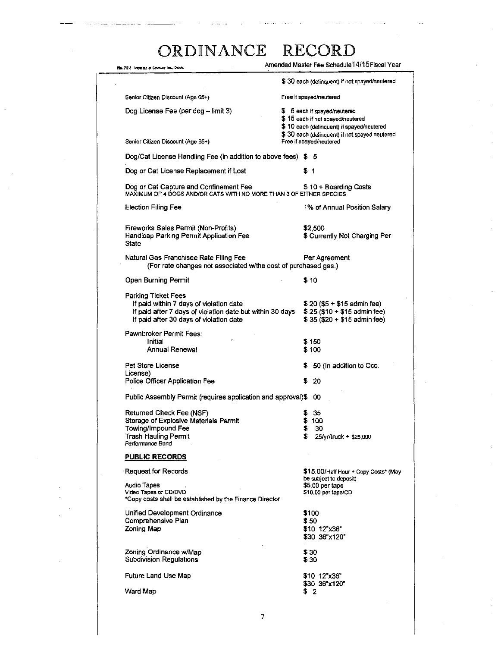| No. 72 8-Repries & Coloury Inc., ORNA                                                                                                                                         | Amended Master Fee Schedule 14/15 Fiscal Year                                                                                                                  |
|-------------------------------------------------------------------------------------------------------------------------------------------------------------------------------|----------------------------------------------------------------------------------------------------------------------------------------------------------------|
|                                                                                                                                                                               | \$30 each (delinguent) if not spayed/neutered                                                                                                                  |
| Senior Citizen Discount (Age 65+)                                                                                                                                             | Free if spayed/neutered                                                                                                                                        |
| Dog License Fee (per dog - limit 3)                                                                                                                                           | \$ 5 each if spayed/neutered<br>\$15 each if not spayed/neutered<br>\$10 each (delinquent) if spayed/neutered<br>\$30 each (delinquent) if not spayed neutered |
| Senior Citizen Discount (Age 65+)                                                                                                                                             | Free if spayed/neutered                                                                                                                                        |
| Dog/Cat License Handling Fee (in addition to above fees) \$ 5                                                                                                                 |                                                                                                                                                                |
| Dog or Cat License Replacement if Lost                                                                                                                                        | \$1                                                                                                                                                            |
| Dog or Cat Capture and Confinement Fee<br>MAXIMUM OF 4 DOGS AND/OR CATS WITH NO MORE THAN 3 OF EITHER SPECIES                                                                 | \$10 + Boarding Costs                                                                                                                                          |
| <b>Election Filing Fee</b>                                                                                                                                                    | 1% of Annual Position Salary                                                                                                                                   |
| Fireworks Sales Permit (Non-Profits)<br>Handicap Parking Permit Application Fee<br>State                                                                                      | \$2,500<br>\$ Currently Not Charging Per                                                                                                                       |
| Natural Gas Franchisee Rate Filing Fee<br>(For rate changes not associated w/the cost of purchased gas.)                                                                      | Per Agreement                                                                                                                                                  |
| Open Burning Permit                                                                                                                                                           | \$10                                                                                                                                                           |
| <b>Parking Ticket Fees</b><br>If paid within 7 days of violation date<br>If paid after 7 days of violation date but within 30 days<br>If paid after 30 days of violation date | \$20 (\$5 + \$15 admin fee)<br>$$25 ($10 + $15$$ admin fee)<br>$$35 ($20 + $15$ admin fee)                                                                     |
| Pawnbroker Permit Fees:<br>Initial                                                                                                                                            |                                                                                                                                                                |
| Annual Renewal                                                                                                                                                                | S 150<br>\$ 100                                                                                                                                                |
| Pet Store License<br>License)                                                                                                                                                 | 50 (In addition to Occ.<br>\$.                                                                                                                                 |
| Police Officer Application Fee                                                                                                                                                | \$20                                                                                                                                                           |
| Public Assembly Permit (requires application and approval)\$ 00                                                                                                               |                                                                                                                                                                |
| Returned Check Fee (NSF)                                                                                                                                                      | 35                                                                                                                                                             |
| Storage of Explosive Materials Permit<br>Towing/Impound Fee                                                                                                                   | \$100<br>30<br>ъ                                                                                                                                               |
| Trash Hauling Permit<br>Performance Bond                                                                                                                                      | £<br>25/yr/truck + \$25,000                                                                                                                                    |
| <b>PUBLIC RECORDS</b>                                                                                                                                                         |                                                                                                                                                                |
| Request for Records                                                                                                                                                           | \$15.00/Half Hour + Copy Costs* (May                                                                                                                           |
| <b>Audio Tapes</b><br>Video Tapes or CD/DVD<br>*Copy costs shall be established by the Finance Director                                                                       | be subject to deposit)<br>\$5.00 per tape<br>\$10.00 per tape/CD                                                                                               |
| Unified Development Ordinance<br>Comprehensive Plan<br><b>Zoning Map</b>                                                                                                      | \$100<br>\$50<br>\$10 12"x36"<br>\$30 36"x120"                                                                                                                 |
| Zoning Ordinance w/Map<br><b>Subdivision Regulations</b>                                                                                                                      | \$30<br>\$30                                                                                                                                                   |
| Future Land Use Map                                                                                                                                                           | \$10 12"x36"<br>\$30 36"x120"                                                                                                                                  |
| Ward Map                                                                                                                                                                      | \$2                                                                                                                                                            |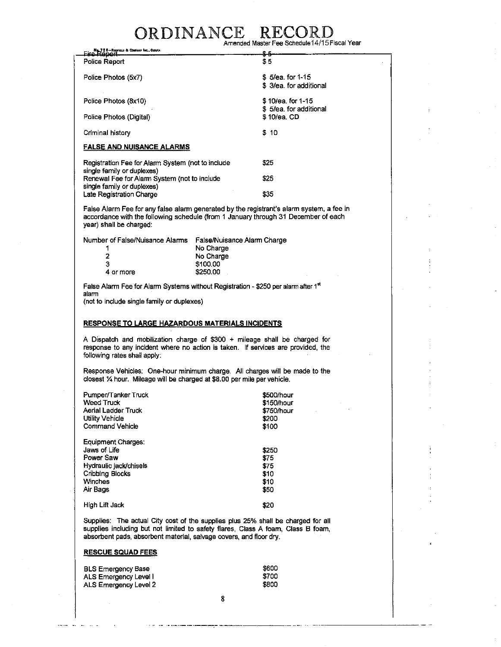### ORDINANCE RECO Amended Master Fee Schedule14/15 Fiscal Year

| Euro Report & Comercia County                                              | ≏≖                                         |
|----------------------------------------------------------------------------|--------------------------------------------|
| Police Report                                                              | \$ 5                                       |
| Police Photos (5x7)                                                        | \$5/ea. for 1-15<br>\$ 3/ea for additional |
| Police Photos (8x10)                                                       | \$10/ea. for 1-15                          |
| Police Photos (Digital)                                                    | \$5/ea, for additional<br>\$10/ea. CD      |
| Criminal history                                                           | \$10                                       |
| <b>FALSE AND NUISANCE ALARMS</b>                                           |                                            |
| Registration Fee for Alarm System (not to include                          | \$25                                       |
| single family or duplexes)<br>Renewal Fee for Alarm System (not to include | \$25                                       |
| single family or duplexes)<br>Late Registration Charge                     | \$35                                       |

False Alarm Fee for any false alarm generated by the registrant's alarm system, a fee in accordance with the following schedule (from 1 January through 31 December of each year) shall be charged:

| Number of False/Nuisance Alarms | False/Nuisance Alarm Charge |
|---------------------------------|-----------------------------|
|                                 | No Charge                   |
| 2                               | No Charge                   |
| з                               | \$100.00                    |
| 4 or more                       | \$250.00                    |

False Alarm Fee for Alarm Systems without Registration - \$250 per alarm after 1 51 alarm

(not to include single family or duplexes)

#### **RESPONSE TO LARGE HAZARDOUS MATERIALS INCIDENTS**

A Dispatch and mobilization charge of \$300 + mileage shall be charged for response to any incident where no action is taken. If services are provided, the following rates shali apply:

Response Vehicles: One-hour minimum charge. All charges will be made to the closest % hour. Mileage will be charged at \$8.00 per mile per vehicle.

| Pumper/Tanker Truck<br>Weed Truck<br>Aerial Ladder Truck<br>Utility Vehicle<br><b>Command Vehicle</b>               | \$500/hour<br>\$150/hour<br>\$750/hour<br>\$200<br>\$100 |  |
|---------------------------------------------------------------------------------------------------------------------|----------------------------------------------------------|--|
| Equipment Charges:<br>Jaws of Life<br>Power Saw<br>Hydraulic jack/chisels<br>Cribbing Blocks<br>Winches<br>Air Bags | \$250<br>\$75<br>\$75<br>\$10<br>\$10<br>\$50            |  |
| High Lift Jack                                                                                                      | \$20                                                     |  |

Supplies: The actual City cost of the supplies plus 25% shall be charged for all supplies including but not limited to safety flares, Class A foam, Class B foam, absorbent pads, absorbent material, salvage covers, and floor dry.

### **RESCUE SQUAD FEES**

| <b>BLS Emergency Base</b> | \$600 |
|---------------------------|-------|
| ALS Emergency Level I     | \$700 |
| ALS Emergency Level 2     | \$800 |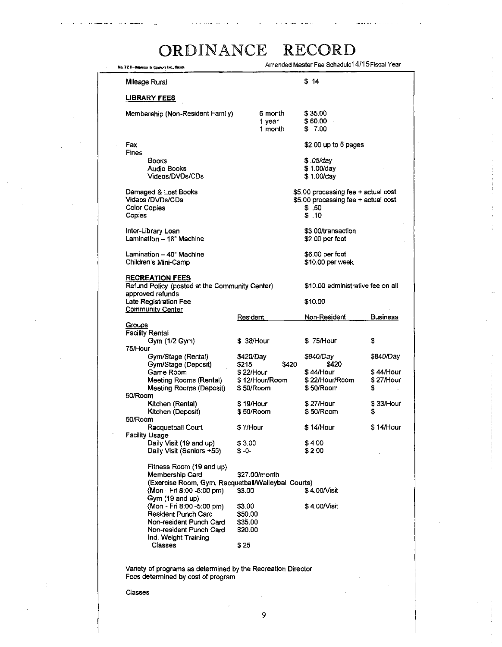| No. 728-Reported to Company Inc., ORANA                                                                                                                                         |                                                                          | Amended Master Fee Schedule 14/15 Fiscal Year                                                |                                            |
|---------------------------------------------------------------------------------------------------------------------------------------------------------------------------------|--------------------------------------------------------------------------|----------------------------------------------------------------------------------------------|--------------------------------------------|
| Mileage Rural                                                                                                                                                                   |                                                                          | \$14                                                                                         |                                            |
| <u>LIBRARY FEES</u>                                                                                                                                                             |                                                                          |                                                                                              |                                            |
| Membership (Non-Resident Family)                                                                                                                                                | 6 month<br>1 year<br>1 month                                             | \$35.00<br>\$60.00<br>\$ 7.00                                                                |                                            |
| Fax                                                                                                                                                                             |                                                                          | \$2.00 up to 5 pages                                                                         |                                            |
| Fines<br><b>Books</b><br><b>Audio Books</b><br>Videos/DVDs/CDs                                                                                                                  |                                                                          | \$05/aav<br>\$1.00/day<br>\$1.00/day                                                         |                                            |
| Damaged & Lost Books<br>Videos /DVDs/CDs<br>Color Copies<br>Copies                                                                                                              |                                                                          | \$5.00 processing fee + actual cost<br>\$5.00 processing fee + actual cost<br>\$.50<br>\$.10 |                                            |
| Inter-Library Loan<br>Lamination - 18" Machine                                                                                                                                  |                                                                          | \$3.00/transaction<br>\$2.00 per foot                                                        |                                            |
| Lamination - 40" Machine<br>Children's Mini-Camp                                                                                                                                |                                                                          | \$6.00 per foot<br>\$10.00 per week                                                          |                                            |
| <b>RECREATION FEES</b><br>Refund Policy (posted at the Community Center)<br>approved refunds<br>Late Registration Fee                                                           |                                                                          | \$10.00 administrative fee on all<br>\$10.00                                                 |                                            |
| <b>Community Center</b>                                                                                                                                                         | <b>Resident</b>                                                          | Non-Resident                                                                                 | <b>Business</b>                            |
| Groups<br><b>Facility Rental</b>                                                                                                                                                |                                                                          |                                                                                              |                                            |
| Gym (1/2 Gym)<br>75/Hour                                                                                                                                                        | \$ 38/Hour                                                               | \$75/Hour                                                                                    | \$                                         |
| Gym/Stage (Rental)<br>Gym/Stage (Deposit)<br>Game Room<br>Meeting Rooms (Rental)<br>Meeting Rooms (Deposit)                                                                     | \$420/Day<br>\$215<br>\$420<br>\$ 22/Hour<br>\$12/Hour/Room<br>\$50/Room | \$840/Day<br>\$420<br><b>\$ 44/Hour</b><br>\$22/Hour/Room<br>\$50/Room                       | \$840/Day<br>\$ 44/Hour<br>\$27/Hour<br>\$ |
| 50/Room                                                                                                                                                                         |                                                                          |                                                                                              |                                            |
| Kitchen (Rental)<br>Kitchen (Deposit)<br>50/Room                                                                                                                                | \$19/Hour<br>\$50/Room                                                   | \$27/Hour<br>\$50/Room                                                                       | \$33/Hour<br>\$                            |
| Racquetball Court<br><b>Facility Usage</b>                                                                                                                                      | \$7/Hour                                                                 | \$14/Hour                                                                                    | \$14/Hour                                  |
| Daily Visit (19 and up)<br>Daily Visit (Seniors +55)                                                                                                                            | \$3.00<br>\$-0−                                                          | \$4.00<br>\$2.00                                                                             |                                            |
| Fitness Room (19 and up)<br>Membership Card<br>(Exercise Room, Gym, Racquetball/Walleyball Courts)<br>(Mon - Fri 8:00 -5:00 pm)<br>Gym (19 and up)<br>(Mon - Fri 8:00 -5:00 pm) | \$27.00/month<br>\$3.00                                                  | \$4.00/Visit                                                                                 |                                            |
| Resident Punch Card<br>Non-resident Punch Card<br>Non-resident Punch Card                                                                                                       | \$3.00<br>\$50.00<br>\$35.00<br>\$20.00                                  | \$4.00/Visit                                                                                 |                                            |
| Ind. Weight Training<br>Classes                                                                                                                                                 | \$ 25                                                                    |                                                                                              |                                            |

Variety of programs as determined by the Recreation Director Fees determined by cost of program

Classes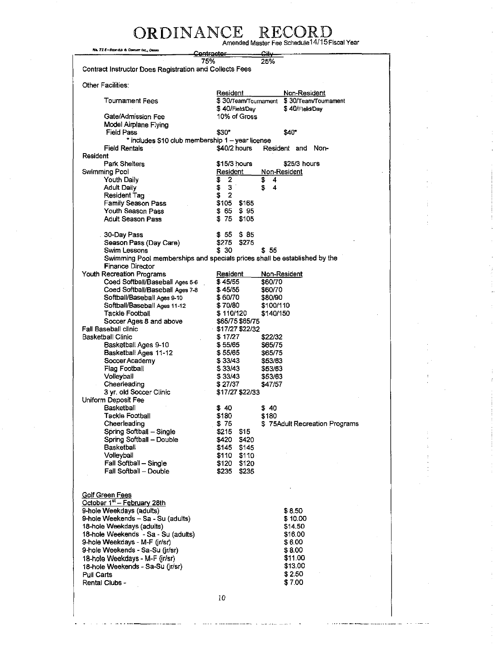# ORDINANCE RECORD<br>Amended Master Fee Schedule<sup>14/15</sup>Fiscal Year

| No. 72 8-REPORTS & COMPANY (NC., OBANA                         | Uniqued Masia Lee onienne i II Iot                                        |
|----------------------------------------------------------------|---------------------------------------------------------------------------|
|                                                                | <del>Contractor</del><br><del>Cit∨</del><br>75%<br>25%                    |
| Contract Instructor Does Registration and Collects Fees        |                                                                           |
|                                                                |                                                                           |
| Other Facilities:                                              |                                                                           |
|                                                                | Resident<br>Non-Resident                                                  |
| <b>Tournament Fees</b>                                         | \$30/Team/Tournament \$30/Team/Tournament                                 |
| Gate/Admission Fee                                             | \$40/Field/Day<br>\$40/Field/Day                                          |
| Model Airplane Flying                                          | 10% of Gross                                                              |
| <b>Field Pass</b>                                              | \$30*<br>\$40*                                                            |
|                                                                | * includes \$10 club membership 1 - year license                          |
| Field Rentals                                                  | $$40/2$ hours<br>Resident and Non-                                        |
| Resident                                                       |                                                                           |
| Park Shelters                                                  | \$15/3 hours<br>\$25/3 hours                                              |
| Swimming Pool                                                  | Resident<br>Non-Resident                                                  |
| Youth Daily                                                    | \$<br>2<br>\$<br>4                                                        |
| <b>Adult Daily</b>                                             | \$<br>3<br>\$<br>4<br>\$<br>2                                             |
| Resident Tag<br>Family Season Pass                             | \$105<br>\$165                                                            |
| Youth Season Pass                                              | \$65<br>\$95                                                              |
| <b>Adult Season Pass</b>                                       | \$75<br>\$105                                                             |
|                                                                |                                                                           |
| 30-Day Pass                                                    | \$55<br>\$85                                                              |
| Season Pass (Day Care)                                         | \$275<br>\$275                                                            |
| Swim Lessons                                                   | \$ 30<br>\$ 55                                                            |
|                                                                | Swimming Pool memberships and specials prices shall be established by the |
| <b>Finance Director</b>                                        |                                                                           |
| Youth Recreation Programs<br>Coed Softball/Baseball Ages 5-6   | Resident<br>Non-Resident<br>\$45/55<br>\$60/70                            |
| Coed Softball/Baseball Ages 7-8                                | \$45/55<br>\$60/70                                                        |
| Softball/Baseball Ages 9-10                                    | \$60/70<br>\$80/90                                                        |
| Softball/Baseball Ages 11-12                                   | \$70/80<br>\$100/110                                                      |
| <b>Tackle Football</b>                                         | \$110/120<br>\$140/150                                                    |
| Soccer Ages 8 and above                                        | \$65/75 \$65/75                                                           |
| Fall Baseball clinic                                           | \$17/27 \$22/32                                                           |
| Basketball Clinic                                              | \$17/27<br>\$22/32                                                        |
| Basketball Ages 9-10                                           | \$55/65<br>\$65/75                                                        |
| Basketball Ages 11-12                                          | \$55/65<br>\$65/75<br>\$33/43                                             |
| Soccer Academy<br>Flag Football                                | \$53/63<br>\$33/43<br>\$53/63                                             |
| Volleyball                                                     | \$33/43<br>\$53/63                                                        |
| Cheerleading                                                   | \$27/37<br>\$47/57                                                        |
| 3 yr. old Soccer Clinic                                        | \$17/27 \$22/33                                                           |
| Uniform Deposit Fee                                            |                                                                           |
| Basketball                                                     | \$40<br>\$40                                                              |
| Tackle Football                                                | \$180<br>\$180                                                            |
| Cheerleading                                                   | \$75<br>\$75Adult Recreation Programs                                     |
| Spring Softball - Single<br>Spring Softball - Double           | \$215<br>\$15<br>\$420<br>\$420                                           |
| Basketball                                                     | \$145<br>\$145                                                            |
| Volleyball                                                     | \$110<br>\$110.                                                           |
| Fall Softball - Single                                         | \$120<br>\$120                                                            |
| Fall Softball - Double                                         | \$235<br>\$235                                                            |
|                                                                |                                                                           |
|                                                                |                                                                           |
| Golf Green Fees                                                |                                                                           |
| October 1st - February 28th                                    |                                                                           |
| 9-hole Weekdays (adults)<br>9-hole Weekends - Sa - Su (adults) | \$8.50<br>\$10.00                                                         |
| 18-hole Weekdays (adults)                                      | \$14.50                                                                   |
| 18-hole Weekends - Sa - Su (adults)                            | \$16.00                                                                   |
| 9-hole Weekdays - M-F (jr/sr)                                  | \$6.00                                                                    |
| 9-hole Weekends - Sa-Su (jr/sr)                                | \$8.00                                                                    |
| 18-hole Weekdays - M-F (jr/sr)                                 | \$11.00                                                                   |
| 18-hole Weekends - Sa-Su (jr/sr)                               | \$13.00                                                                   |
| <b>Pull Carts</b>                                              | \$2.50                                                                    |
| Rental Clubs -                                                 | \$7.00                                                                    |
|                                                                |                                                                           |
|                                                                | 10                                                                        |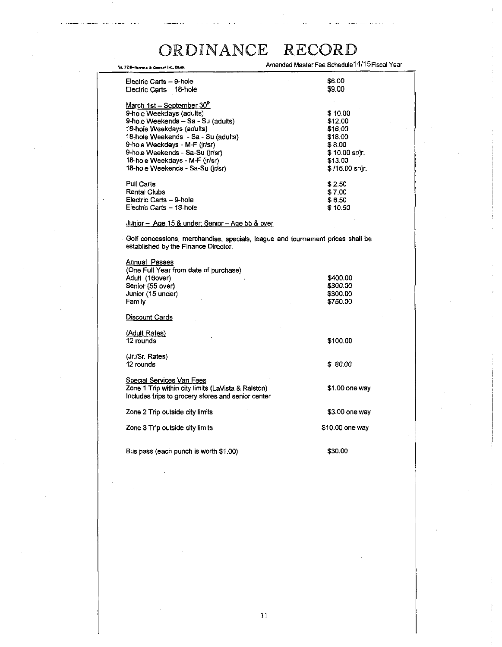| No. 728-REPORTS & COMPANY INC., ONAHA                                                                    | Amended Master Fee Schedule 14/15 Fiscal Year                                  |
|----------------------------------------------------------------------------------------------------------|--------------------------------------------------------------------------------|
| Electric Carts - 9-hole                                                                                  | \$6.00                                                                         |
| Electric Carts - 18-hole                                                                                 | \$9.00                                                                         |
| March 1st - September 30"                                                                                |                                                                                |
| 9-hole Weekdays (adults)                                                                                 | \$10.00                                                                        |
| 9-hole Weekends - Sa - Su (adults)                                                                       | \$12.00                                                                        |
|                                                                                                          | \$16.00                                                                        |
| 18-hole Weekdays (aduits)                                                                                |                                                                                |
| 18-hole Weekends - Sa - Su (adults)                                                                      | \$18.00                                                                        |
| 9-hole Weekdays - M-F (jr/sr)                                                                            | \$8.00                                                                         |
| 9-hole Weekends - Sa-Su (in/sr)                                                                          | \$ 10.00 sr/ir.                                                                |
| 18-hole Weekdays - M-F (jr/sr)                                                                           | \$13.00                                                                        |
| 18-hole Weekends - Sa-Su (jr/sr)                                                                         | \$ /15.00 sr/ir.                                                               |
| Pull Carts                                                                                               | \$2.50                                                                         |
| Rental Clubs                                                                                             | \$7.00                                                                         |
| Electric Carts - 9-hole                                                                                  | \$6.50                                                                         |
| Electric Carts - 18-hole                                                                                 | \$10.50                                                                        |
| Junior - Age 15 & under; Senior - Age 55 & over                                                          |                                                                                |
| established by the Finance Director.<br><u> Annual Passes</u><br>(One Full Year from date of purchase)   | Golf concessions, merchandise, specials, league and tournament prices shall be |
| Adult (16over)                                                                                           | \$400.00                                                                       |
| Senior (55 over)                                                                                         | \$300.00                                                                       |
| Junior (15 under)                                                                                        | \$300.00                                                                       |
| Family                                                                                                   | \$750.00                                                                       |
| <u>Discount Cards</u>                                                                                    |                                                                                |
|                                                                                                          |                                                                                |
| (Adult Rates)<br>12 rounds                                                                               | \$100.00                                                                       |
|                                                                                                          |                                                                                |
| (Jr./Sr. Rates)                                                                                          |                                                                                |
| 12 rounds                                                                                                | \$80.00                                                                        |
| <b>Special Services Van Fees</b>                                                                         |                                                                                |
| Zone 1 Trip within city limits (LaVista & Ralston)<br>Includes trips to grocery stores and senior center | \$1.00 one way                                                                 |
| Zone 2 Trip outside city limits                                                                          | \$3.00 one way                                                                 |
| Zone 3 Trip outside city limits                                                                          | \$10.00 one way                                                                |
| Bus pass (each punch is worth \$1.00)                                                                    | \$30.00                                                                        |
|                                                                                                          |                                                                                |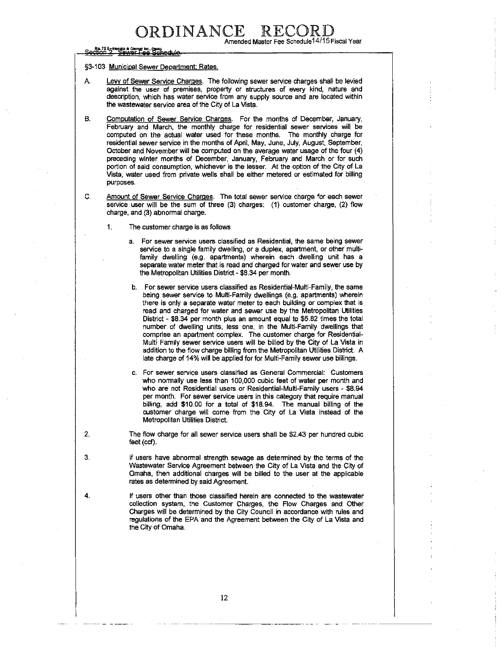Amended Master Fee Schedule14/15 Fiscal Year

### Section 2. 'Sewer Fee Schedul

#### §3-103 Municipal Sewer Department; Rates.

- A. Levy of Sewer Service Charges. The following sewer service charges shall be levied against the user of premises, property or structures of every kind, nature and description, which has water service from any supply source and are located within the wastewater service area of the City of La Vista.
- B. Computation of Sewer Service Charges. For the months of December, January, February and March, the monthly charge for residential sewer services will be computed on the actual water used for these months. The monthly charge for residential sewer service in the months of April, May, June, July, August, September, October and November wiil be computed on the average water usage of the four (4) preceding winter months of December, January, February and March or for such portion of said consumption, whichever is the lesser. At the option of the City of La Vista, water used from private wells shall be either metered or estimated for billing purposes.
- C. Amount of Sewer Service Charges. The total sewer service charge for each sewer service user will be the sum of three (3) charges: (1) customer charge, (2) flow charge, and (3) abnormal charge.
	- 1. The customer charge is as follows
		- a. For sewer service users classified as Residential, the same being sewer service to a single family dwelling, or a duplex, apartment, or other multifamily dwelling (e.g. apartments) wherein each dwelling unit has a separate water meter that is read and charged for water and sewer use by the Metropolitan Utilities District - \$8.34 per month.
		- b. For sewer service users classified as Residential-Multi-Family, the same being sewer service to Multi-Family dwellings (e.g. apartments) wherein there is only a separate water meter to each building or complex that is read and charged for water and sewer use by the Metropolitan Utilities District - \$8.34 per month plus an amount equal to \$5.82 times the total number of dwelling units, less one, in the Multi-Family dwellings that comprise an apartment complex. The customer charge for Residential-Multi Family sewer service users will be billed by the City of La Vista in addition to the flow charge billing from the Metropolitan Utilities District. A late charge of 14% will be applied for for Multi-Family sewer use billings.
		- c. For sewer service users classified as General Commercial: Customers who normally use less than 100,000 cubic feet of water per month and who are not Residential users or Residential-Multi-Family users - \$8.94 per month. For sewer service users in this category that require manual billing, add \$10.00 for a total of \$18.94. The manual billing of the customer charge will come from the City of La Vista instead of the Metropolitan Utilities District.
- 2. The flow charge for all sewer service users shall be \$2.43 per hundred cubic feet (ccf).
- 3. If users have abnormal strength sewage as determined by the terms of the Wastewater Service Agreement between the City of La Vista and the City of Omaha, then additional charges will be billed to the user at the applicable rates as determined by said Agreement.
- 4. If users other than those classified herein are connected to the wastewater collection system, the Customer Charges, the Flow Charges and Other Charges will be determined by the City Council in accordance with rules and regulations of the EPA and the Agreement between the City of La Vista and the City of Omaha.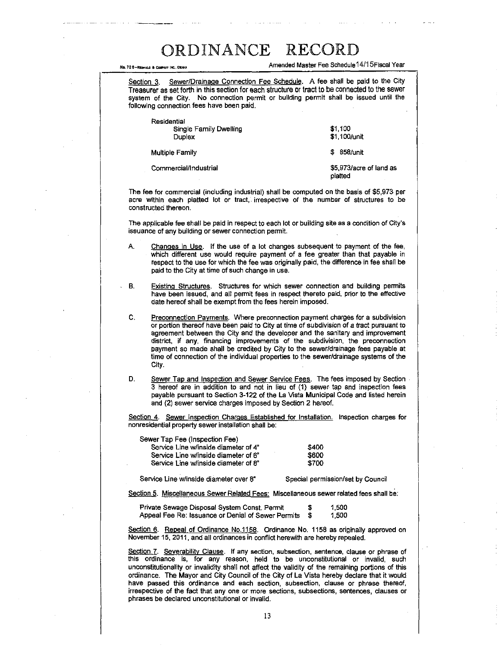, 728-Rcmj,»ceww i«..ouu Amended Master Fee Schedulel 4/1 SFiscal Year

Section 3. Sewer/Drainage Connection Fee Schedule. A fee shall be paid to the City Treasurer as set forth in this section for each structure or tract to be connected to the sewer system of the City. No connection permit or building permit shall be issued until the following connection fees have been paid.

| Residential<br>Single Family Dwelling<br>Duplex | \$1,100<br>\$1,100/unit            |
|-------------------------------------------------|------------------------------------|
| <b>Multiple Family</b>                          | <b>\$</b> 858/unit                 |
| Commercial/Industrial                           | \$5,973/acre of land as<br>platted |

The fee for commercial (including industrial) shall be computed on the basis of \$5,973 per acre within each platted lot or tract, irrespective of the number of structures to be constructed thereon.

The applicable fee shall be paid in respect to each lot or building site as a condition of City's issuance of any building or sewer connection permit.

- A. Changes in Use. If the use of a lot changes subsequent to payment of the fee, which different use would require payment of a fee greater than that payable in respect to the use for which the fee was originally paid, the difference in fee shall be paid to the City at time of such change in use.
- B. Existing Structures. Structures for which sewer connection and building permits have been issued, and all permit fees in respect thereto paid, prior to the effective date hereof shall be exempt from the fees herein imposed.
- C. Preconnection Payments. Where preconnection payment charges for a subdivision or portion thereof have been paid to City at time of subdivision of a tract pursuant to agreement between the City and the developer and the sanitary and improvement district, if any, financing improvements of the subdivision, the preconnection payment so made shall be credited by City to the sewer/drainage fees payable at time of connection of the individual properties to the sewer/drainage systems of the City.
- D. Sewer Tap and Inspection and Sewer Service Fees. The fees imposed by Section 3 hereof are in addition to and not in lieu of (1) sewer tap and inspection fees payable pursuant to Section 3-122 of the La Vista Municipal Code and listed herein and (2) sewer service charges imposed by Section 2 hereof.

Section 4. Sewer Inspection Charges Established for Installation . Inspection charges for nonresidential property sewer installation shall be:

| Sewer Tap Fee (Inspection Fee)       |             |
|--------------------------------------|-------------|
| Service Line w/inside diameter of 4" | \$400       |
| Service Line w/inside diameter of 6" | <b>S600</b> |
| Service Line w/inside diameter of 8" | <b>S700</b> |

Service Line w/inside diameter over 8" Special permission/set by Council

Section 5. Miscellaneous Sewer Related Fees : Miscellaneous sewer related fees shall be.

| Private Sewage Disposal System Const. Permit          | s. | 1,500 |
|-------------------------------------------------------|----|-------|
| Appeal Fee Re: Issuance or Denial of Sewer Permits \$ |    | 1.500 |

Section 6. Repeal of Ordinance No.1158. Ordinance No. 1158 as originally approved on November 15, 2011, and all ordinances in conflict herewith are hereby repealed.

Section 7. Severability Clause. If any section, subsection, sentence, clause or phrase of this ordinance is, for any reason, held to be unconstitutional or invalid, such unconstitutionality or invalidity shall not affect the validity of the remaining portions of this ordinance. The Mayor and City Council of the City of La Vista hereby declare that it would have passed this ordinance and each section, subsection, clause or phrase thereof, irrespective of the fact that any one or more sections, subsections, sentences, clauses or phrases be declared unconstitutional or invalid.